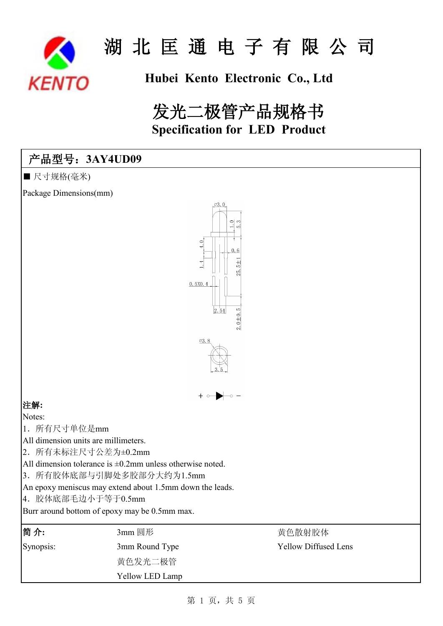

## **Hubei Kento Electronic Co., Ltd**

# 发光二极管产品规格书 **Specification for LED Product**

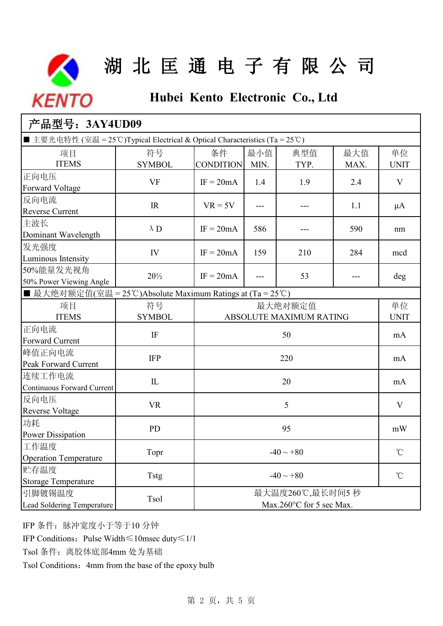

## **Hubei Kento Electronic Co., Ltd**

| 产品型号: 3AY4UD09                                                               |                                   |                        |                                             |             |             |                   |  |
|------------------------------------------------------------------------------|-----------------------------------|------------------------|---------------------------------------------|-------------|-------------|-------------------|--|
| ■ 主要光电特性 (室温 = 25°C)Typical Electrical & Optical Characteristics (Ta = 25°C) |                                   |                        |                                             |             |             |                   |  |
| 项目<br><b>ITEMS</b>                                                           | 符号<br><b>SYMBOL</b>               | 条件<br><b>CONDITION</b> | 最小值<br>MIN.                                 | 典型值<br>TYP. | 最大值<br>MAX. | 单位<br><b>UNIT</b> |  |
| 正向电压<br>Forward Voltage                                                      | <b>VF</b>                         | $IF = 20mA$            | 1.4                                         | 1.9         | 2.4         | V                 |  |
| 反向电流<br><b>Reverse Current</b>                                               | $\ensuremath{\mathsf{IR}}\xspace$ | $VR = 5V$              | ---                                         | ---         | 1.1         | μA                |  |
| 主波长<br>Dominant Wavelength                                                   | $\lambda$ D                       | $IF = 20mA$            | 586                                         |             | 590         | nm                |  |
| 发光强度<br>Luminous Intensity                                                   | IV                                | $IF = 20mA$            | 159                                         | 210         | 284         | mcd               |  |
| 50%能量发光视角<br>50% Power Viewing Angle                                         | $2\theta\frac{1}{2}$              | $IF = 20mA$            | ---                                         | 53          |             | deg               |  |
| ■ 最大绝对额定值(室温 = 25°C)Absolute Maximum Ratings at (Ta = 25°C)                  |                                   |                        |                                             |             |             |                   |  |
| 项目<br><b>ITEMS</b>                                                           | 符号<br><b>SYMBOL</b>               |                        | 最大绝对额定值<br>ABSOLUTE MAXIMUM RATING          |             |             |                   |  |
| 正向电流<br><b>Forward Current</b>                                               | $\rm IF$                          |                        | 50                                          |             |             | <b>UNIT</b><br>mA |  |
| 峰值正向电流<br>Peak Forward Current                                               | <b>IFP</b>                        |                        | 220                                         |             |             |                   |  |
| 连续工作电流<br>Continuous Forward Current                                         | $\mathbb{L}$                      |                        | 20                                          |             |             |                   |  |
| 反向电压<br><b>Reverse Voltage</b>                                               | <b>VR</b>                         |                        | 5                                           |             |             |                   |  |
| 功耗<br><b>Power Dissipation</b>                                               | <b>PD</b>                         | 95                     |                                             |             |             | mW                |  |
| 工作温度<br><b>Operation Temperature</b>                                         | Topr                              | $-40 \sim +80$         |                                             |             |             | $\rm ^{\circ}C$   |  |
| 贮存温度<br><b>Storage Temperature</b>                                           | Tstg                              |                        | $-40 \sim +80$<br>$^{\circ}$ C              |             |             |                   |  |
| 引脚镀锡温度<br>Lead Soldering Temperature                                         | Tsol                              |                        | 最大温度260℃,最长时间5秒<br>Max.260°C for 5 sec Max. |             |             |                   |  |

IFP 条件:脉冲宽度小于等于10 分钟

IFP Conditions:Pulse Width≤10msec duty≤1/10

Tsol 条件: 离胶体底部4mm 处为基础

Tsol Conditions: 4mm from the base of the epoxy bulb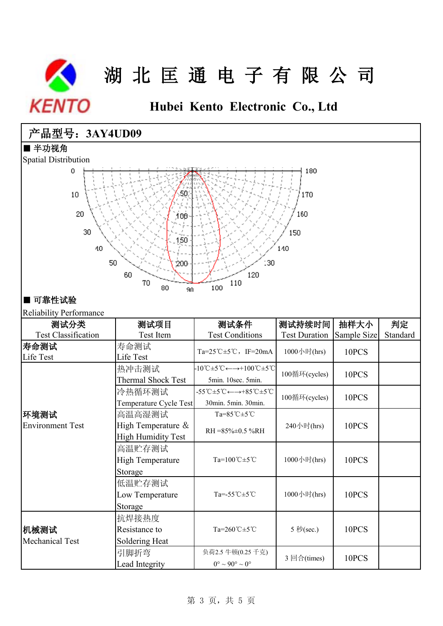

**Hubei Kento Electronic Co., Ltd**

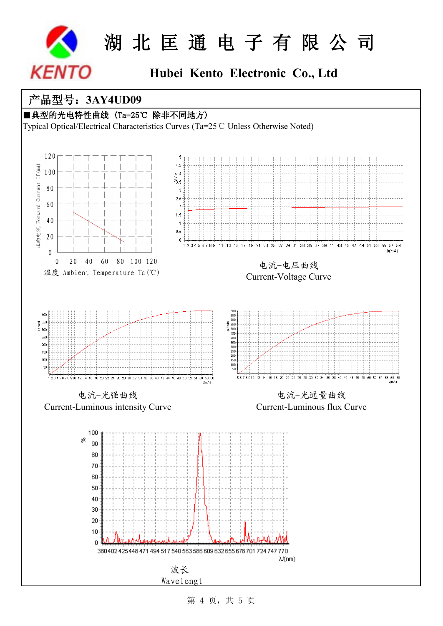

## **Hubei Kento Electronic Co., Ltd**

### 产品型号:**3AY4UD09**



Typical Optical/Electrical Characteristics Curves (Ta=25℃ Unless Otherwise Noted)



第 4 页, 共 5 页